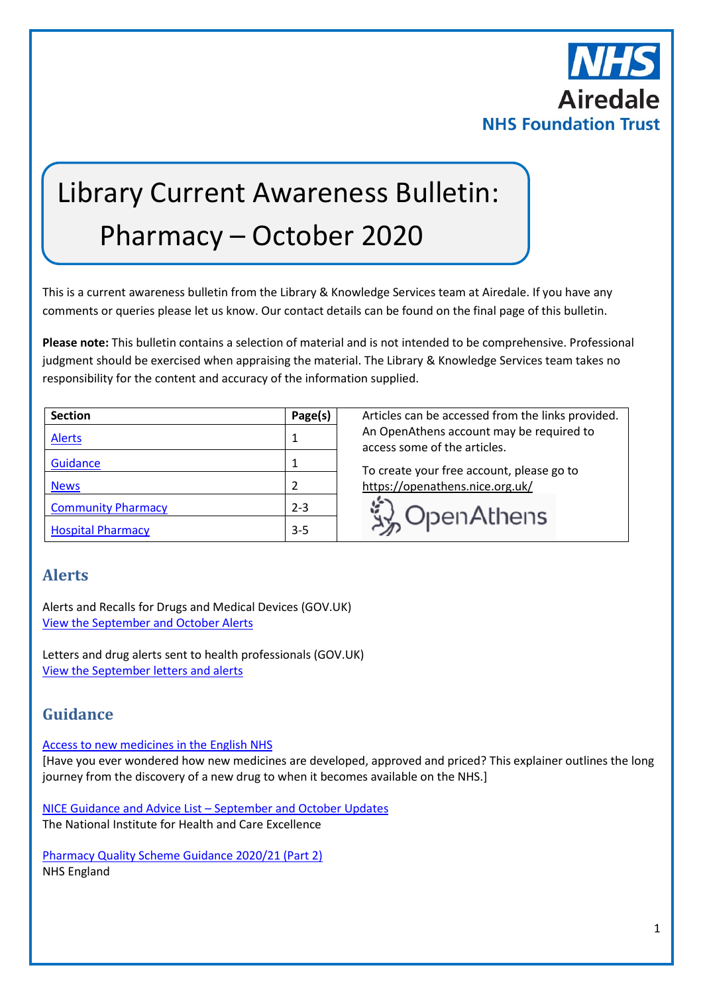

# Library Current Awareness Bulletin: Pharmacy – October 2020

This is a current awareness bulletin from the Library & Knowledge Services team at Airedale. If you have any comments or queries please let us know. Our contact details can be found on the final page of this bulletin.

**Please note:** This bulletin contains a selection of material and is not intended to be comprehensive. Professional judgment should be exercised when appraising the material. The Library & Knowledge Services team takes no responsibility for the content and accuracy of the information supplied.

| <b>Section</b>            | Page(s)       |
|---------------------------|---------------|
| <b>Alerts</b>             | 1             |
| Guidance                  | 1             |
| <b>News</b>               | $\mathfrak z$ |
| <b>Community Pharmacy</b> | $2 - 3$       |
| <b>Hospital Pharmacy</b>  | $3 - 5$       |

Articles can be accessed from the links provided. An OpenAthens account may be required to access some of the articles.

To create your free account, please go to <https://openathens.nice.org.uk/>



## <span id="page-0-0"></span>**Alerts**

Alerts and Recalls for Drugs and Medical Devices (GOV.UK) [View the September](https://www.gov.uk/drug-device-alerts?issued_date%5Bfrom%5D=31%2F08%2F2020) and October Alerts

Letters and drug alerts sent to health professionals (GOV.UK) [View the September](https://www.gov.uk/drug-safety-update/letters-and-drug-alerts-sent-to-healthcare-professionals-in-september-2020) letters and alerts

## <span id="page-0-1"></span>**Guidance**

[Access to new medicines in the English NHS](https://www.kingsfund.org.uk/publications/access-new-medicines-english-nhs)

[Have you ever wondered how new medicines are developed, approved and priced? This explainer outlines the long journey from the discovery of a new drug to when it becomes available on the NHS.]

[NICE Guidance and Advice List](https://www.nice.org.uk/guidance/published?fromdate=September%202020&todate=October%202020) – September and October Updates The National Institute for Health and Care Excellence

[Pharmacy Quality Scheme Guidance 2020/21 \(Part 2\)](https://www.england.nhs.uk/publication/pharmacy-quality-scheme-guidance-2020-21/) NHS England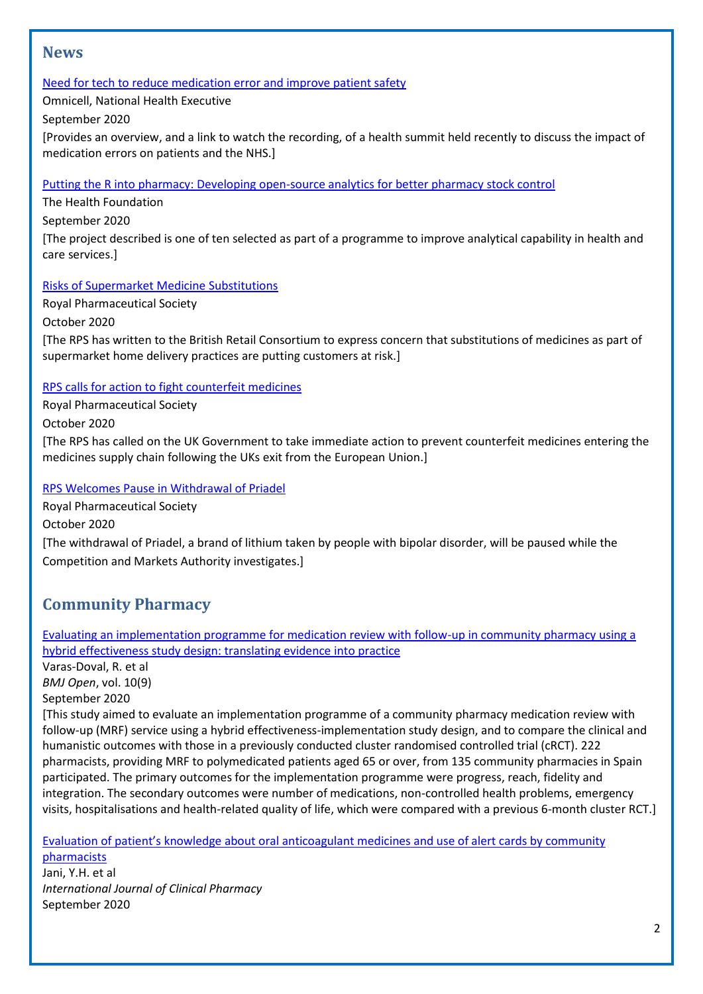## <span id="page-1-0"></span>**News**

#### [Need for tech to reduce medication error and improve patient safety](https://www.nationalhealthexecutive.com/articles/omnicell-tech-medication-error-patient-safety-webinar)

Omnicell, National Health Executive

September 2020

[Provides an overview, and a link to watch the recording, of a health summit held recently to discuss the impact of medication errors on patients and the NHS.]

[Putting the R into pharmacy: Developing open-source analytics for better pharmacy stock control](https://www.health.org.uk/funding-and-partnerships/programmes/open-source-analytics-for-better-pharmacy-stock-control)

The Health Foundation

September 2020

[The project described is one of ten selected as part of a programme to improve analytical capability in health and care services.]

[Risks of Supermarket Medicine Substitutions](https://www.rpharms.com/about-us/news/details/risks-of-supermarket-medicine-substitutions)

Royal Pharmaceutical Society October 2020

[The RPS has written to the British Retail Consortium to express concern that substitutions of medicines as part of supermarket home delivery practices are putting customers at risk.]

[RPS calls for action to fight counterfeit medicines](https://www.rpharms.com/about-us/news/details/rps-calls-for-action-to-fight-counterfeit-medicines)

Royal Pharmaceutical Society October 2020 [The RPS has called on the UK Government to take immediate action to prevent counterfeit medicines entering the medicines supply chain following the UKs exit from the European Union.]

[RPS Welcomes Pause in Withdrawal of Priadel](https://www.rpharms.com/about-us/news/details/rps-welcomes-pause-in-withdrawal-of-priadel-)

Royal Pharmaceutical Society October 2020 [The withdrawal of Priadel, a brand of lithium taken by people with bipolar disorder, will be paused while the Competition and Markets Authority investigates.]

# <span id="page-1-1"></span>**Community Pharmacy**

[Evaluating an implementation programme for medication review with follow-up in community pharmacy using a](https://bmjopen.bmj.com/content/10/9/e036669)  [hybrid effectiveness study design: translating evidence](https://bmjopen.bmj.com/content/10/9/e036669) into practice

Varas-Doval, R. et al *BMJ Open*, vol. 10(9) September 2020 [This study aimed to evaluate an implementation programme of a community pharmacy medication review with follow-up (MRF) service using a hybrid effectiveness-implementation study design, and to compare the clinical and humanistic outcomes with those in a previously conducted cluster randomised controlled trial (cRCT). 222 pharmacists, providing MRF to polymedicated patients aged 65 or over, from 135 community pharmacies in Spain participated. The primary outcomes for the implementation programme were progress, reach, fidelity and integration. The secondary outcomes were number of medications, non-controlled health problems, emergency visits, hospitalisations and health-related quality of life, which were compared with a previous 6-month cluster RCT.]

[Evaluation of patient's knowledge about oral anticoagulant medicines and use of alert cards by community](https://link.springer.com/article/10.1007%2Fs11096-020-01134-w)  [pharmacists](https://link.springer.com/article/10.1007%2Fs11096-020-01134-w)

Jani, Y.H. et al *International Journal of Clinical Pharmacy* September 2020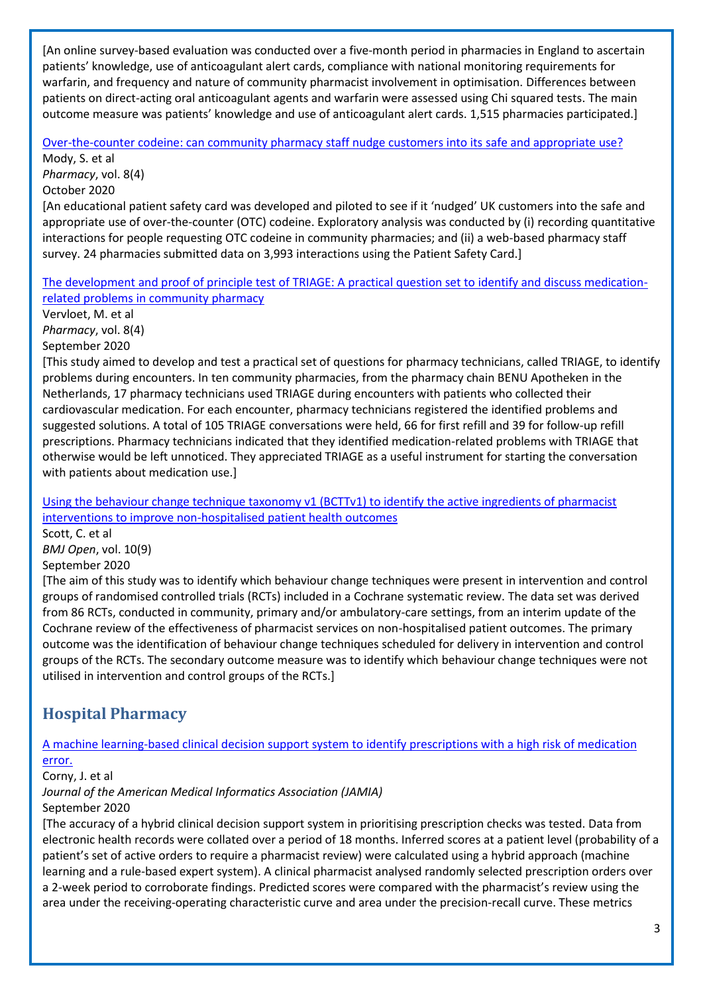[An online survey-based evaluation was conducted over a five-month period in pharmacies in England to ascertain patients' knowledge, use of anticoagulant alert cards, compliance with national monitoring requirements for warfarin, and frequency and nature of community pharmacist involvement in optimisation. Differences between patients on direct-acting oral anticoagulant agents and warfarin were assessed using Chi squared tests. The main outcome measure was patients' knowledge and use of anticoagulant alert cards. 1,515 pharmacies participated.]

[Over-the-counter codeine: can community pharmacy staff nudge customers into its](https://www.mdpi.com/2226-4787/8/4/185) safe and appropriate use? Mody, S. et al

*Pharmacy*, vol. 8(4) October 2020

[An educational patient safety card was developed and piloted to see if it 'nudged' UK customers into the safe and appropriate use of over-the-counter (OTC) codeine. Exploratory analysis was conducted by (i) recording quantitative interactions for people requesting OTC codeine in community pharmacies; and (ii) a web-based pharmacy staff survey. 24 pharmacies submitted data on 3,993 interactions using the Patient Safety Card.]

[The development and proof of principle test of TRIAGE: A practical question set to identify and discuss medication](https://www.mdpi.com/2226-4787/8/4/178)[related problems in community pharmacy](https://www.mdpi.com/2226-4787/8/4/178)

Vervloet, M. et al *Pharmacy*, vol. 8(4) September 2020

[This study aimed to develop and test a practical set of questions for pharmacy technicians, called TRIAGE, to identify problems during encounters. In ten community pharmacies, from the pharmacy chain BENU Apotheken in the Netherlands, 17 pharmacy technicians used TRIAGE during encounters with patients who collected their cardiovascular medication. For each encounter, pharmacy technicians registered the identified problems and suggested solutions. A total of 105 TRIAGE conversations were held, 66 for first refill and 39 for follow-up refill prescriptions. Pharmacy technicians indicated that they identified medication-related problems with TRIAGE that otherwise would be left unnoticed. They appreciated TRIAGE as a useful instrument for starting the conversation with patients about medication use.]

Using the behaviour change technique taxonomy v1 (BCTTv1) to identify the active ingredients of pharmacist [interventions to improve non-hospitalised patient health outcomes](https://bmjopen.bmj.com/content/10/9/e036500)

Scott, C. et al *BMJ Open*, vol. 10(9)

### September 2020

[The aim of this study was to identify which behaviour change techniques were present in intervention and control groups of randomised controlled trials (RCTs) included in a Cochrane systematic review. The data set was derived from 86 RCTs, conducted in community, primary and/or ambulatory-care settings, from an interim update of the Cochrane review of the effectiveness of pharmacist services on non-hospitalised patient outcomes. The primary outcome was the identification of behaviour change techniques scheduled for delivery in intervention and control groups of the RCTs. The secondary outcome measure was to identify which behaviour change techniques were not utilised in intervention and control groups of the RCTs.]

# <span id="page-2-0"></span>**Hospital Pharmacy**

[A machine learning-based clinical decision support system to identify prescriptions with a high risk of medication](https://academic.oup.com/jamia/advance-article/doi/10.1093/jamia/ocaa154/5912186)  [error.](https://academic.oup.com/jamia/advance-article/doi/10.1093/jamia/ocaa154/5912186)

Corny, J. et al

*Journal of the American Medical Informatics Association (JAMIA)* September 2020

[The accuracy of a hybrid clinical decision support system in prioritising prescription checks was tested. Data from electronic health records were collated over a period of 18 months. Inferred scores at a patient level (probability of a patient's set of active orders to require a pharmacist review) were calculated using a hybrid approach (machine learning and a rule-based expert system). A clinical pharmacist analysed randomly selected prescription orders over a 2-week period to corroborate findings. Predicted scores were compared with the pharmacist's review using the area under the receiving-operating characteristic curve and area under the precision-recall curve. These metrics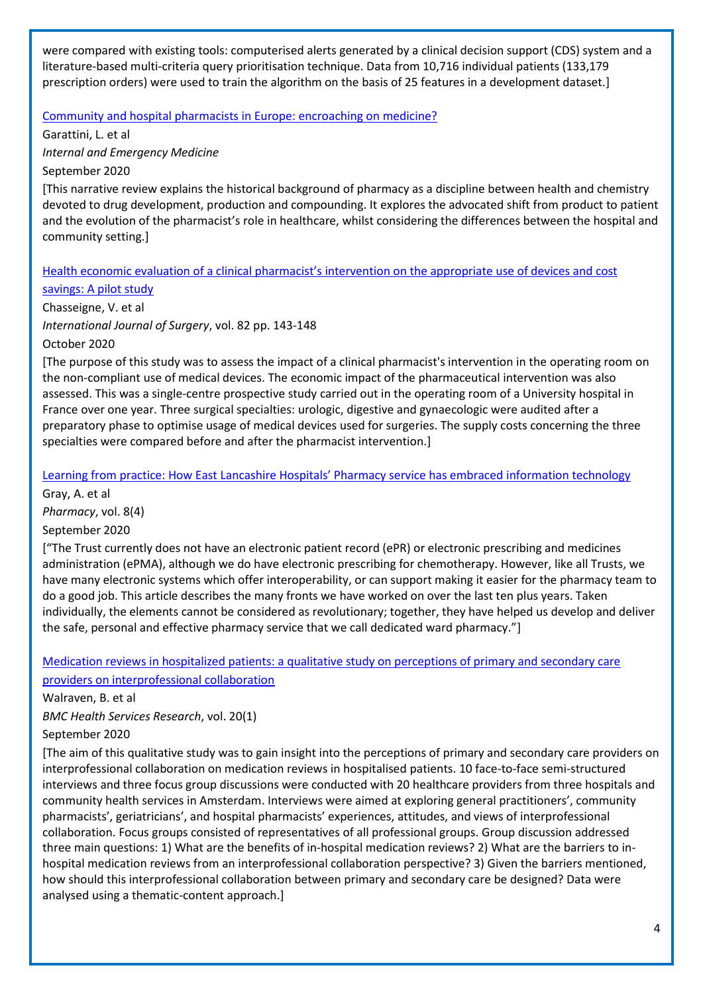were compared with existing tools: computerised alerts generated by a clinical decision support (CDS) system and a literature-based multi-criteria query prioritisation technique. Data from 10,716 individual patients (133,179 prescription orders) were used to train the algorithm on the basis of 25 features in a development dataset.]

#### [Community and hospital pharmacists in Europe: encroaching on](https://link.springer.com/article/10.1007/s11739-020-02496-9) medicine?

Garattini, L. et al *Internal and Emergency Medicine* September 2020

[This narrative review explains the historical background of pharmacy as a discipline between health and chemistry devoted to drug development, production and compounding. It explores the advocated shift from product to patient and the evolution of the pharmacist's role in healthcare, whilst considering the differences between the hospital and community setting.]

[Health economic evaluation of a clinical pharmacist's intervention on the appropriate use of devices and cost](https://www.sciencedirect.com/science/article/pii/S1743919120306245?via%3Dihub)  [savings: A pilot study](https://www.sciencedirect.com/science/article/pii/S1743919120306245?via%3Dihub)

Chasseigne, V. et al *International Journal of Surgery*, vol. 82 pp. 143-148

October 2020

[The purpose of this study was to assess the impact of a clinical pharmacist's intervention in the operating room on the non-compliant use of medical devices. The economic impact of the pharmaceutical intervention was also assessed. This was a single-centre prospective study carried out in the operating room of a University hospital in France over one year. Three surgical specialties: urologic, digestive and gynaecologic were audited after a preparatory phase to optimise usage of medical devices used for surgeries. The supply costs concerning the three specialties were compared before and after the pharmacist intervention.]

[Learning from practice: How East Lancashire Hospitals' Pharmacy service has embraced](https://www.mdpi.com/2226-4787/8/4/177) information technology

Gray, A. et al *Pharmacy*, vol. 8(4)

September 2020

["The Trust currently does not have an electronic patient record (ePR) or electronic prescribing and medicines administration (ePMA), although we do have electronic prescribing for chemotherapy. However, like all Trusts, we have many electronic systems which offer interoperability, or can support making it easier for the pharmacy team to do a good job. This article describes the many fronts we have worked on over the last ten plus years. Taken individually, the elements cannot be considered as revolutionary; together, they have helped us develop and deliver the safe, personal and effective pharmacy service that we call dedicated ward pharmacy."]

[Medication reviews in hospitalized patients: a qualitative study on perceptions of primary and secondary care](https://bmchealthservres.biomedcentral.com/articles/10.1186/s12913-020-05744-y)  [providers on interprofessional collaboration](https://bmchealthservres.biomedcentral.com/articles/10.1186/s12913-020-05744-y)

Walraven, B. et al

*BMC Health Services Research*, vol. 20(1)

September 2020

[The aim of this qualitative study was to gain insight into the perceptions of primary and secondary care providers on interprofessional collaboration on medication reviews in hospitalised patients. 10 face-to-face semi-structured interviews and three focus group discussions were conducted with 20 healthcare providers from three hospitals and community health services in Amsterdam. Interviews were aimed at exploring general practitioners', community pharmacists', geriatricians', and hospital pharmacists' experiences, attitudes, and views of interprofessional collaboration. Focus groups consisted of representatives of all professional groups. Group discussion addressed three main questions: 1) What are the benefits of in-hospital medication reviews? 2) What are the barriers to inhospital medication reviews from an interprofessional collaboration perspective? 3) Given the barriers mentioned, how should this interprofessional collaboration between primary and secondary care be designed? Data were analysed using a thematic-content approach.]